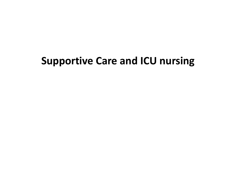### **Supportive Care and ICU nursing**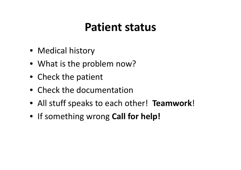### **Patient status**

- Medical history
- What is the problem now?
- Check the patient
- Check the documentation
- All stuff speaks to each other! **Teamwork** !
- If something wrong **Call for help!**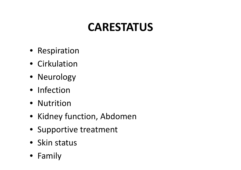# **CARESTATUS**

- Respiration
- Cirkulation
- Neurology
- Infection
- Nutrition
- Kidney function, Abdomen
- Supportive treatment
- Skin status
- Family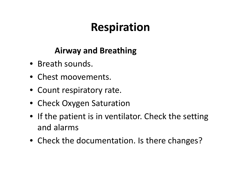# **Respiration**

### **Airway and Breathing**

- Breath sounds.
- Chest moovements.
- Count respiratory rate.
- Check Oxygen Saturation
- If the patient is in ventilator. Check the setting and alarms
- Check the documentation. Is there changes?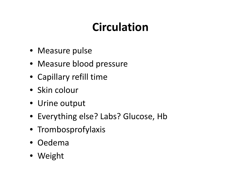# **Circulation**

- Measure pulse
- Measure blood pressure
- Capillary refill time
- Skin colour
- Urine output
- Everything else? Labs? Glucose, Hb
- Trombosprofylaxis
- Oedema
- Weight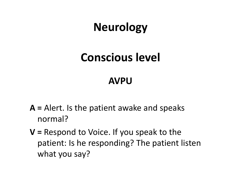## **Neurology**

## **Conscious level**

### **AVPU**

- **A <sup>=</sup>** Alert. Is the patient awake and speaks normal?
- **V <sup>=</sup>** Respond to Voice. If you speak to the patient: Is he responding? The patient listen what you say?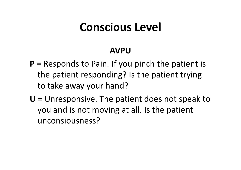### **Conscious Level**

#### **AVPU**

- **P <sup>=</sup>** Responds to Pain. If you pinch the patient is the patient responding? Is the patient trying to take away your hand?
- **U <sup>=</sup>** Unresponsive. The patient does not speak to you and is not moving at all. Is the patient unconsiousness?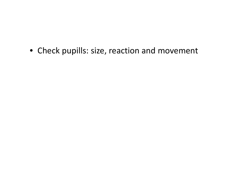• Check pupills: size, reaction and movement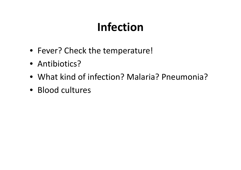# **Infection**

- Fever? Check the temperature!
- Antibiotics?
- What kind of infection? Malaria? Pneumonia?
- Blood cultures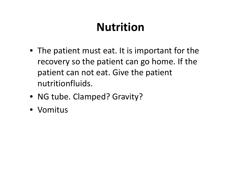# **Nutrition**

- The patient must eat. It is important for the recovery so the patient can go home. If the patient can not eat. Give the patient nutritionfluids.
- NG tube. Clamped? Gravity?
- Vomitus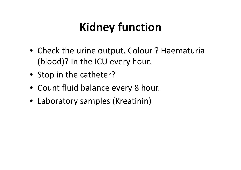# **Kidney function**

- Check the urine output. Colour ? Haematuria (blood)? In the ICU every hour.
- Stop in the catheter?
- Count fluid balance every 8 hour.
- Laboratory samples (Kreatinin)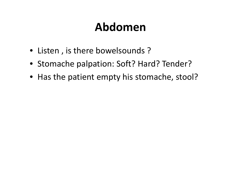## **Abdomen**

- Listen , is there bowelsounds ?
- Stomache palpation: Soft? Hard? Tender?
- Has the patient empty his stomache, stool?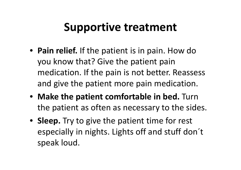### **Supportive treatment**

- **Pain relief.** If the patient is in pain. How do you know that? Give the patient pain medication. If the pain is not better. Reassess and give the patient more pain medication.
- **Make the patient comfortable in bed.** Turn the patient as often as necessary to the sides.
- **Sleep.** Try to give the patient time for rest especially in nights. Lights off and stuff don´t speak loud.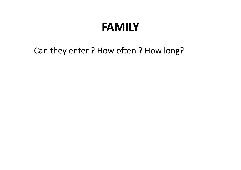### **FAMILY**

Can they enter ? How often ? How long?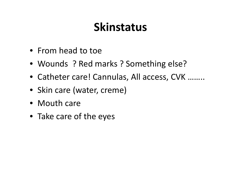### **Skinstatus**

- From head to toe
- Wounds ? Red marks ? Something else?
- Catheter care! Cannulas, All access, CVK ……..
- Skin care (water, creme)
- Mouth care
- Take care of the eyes